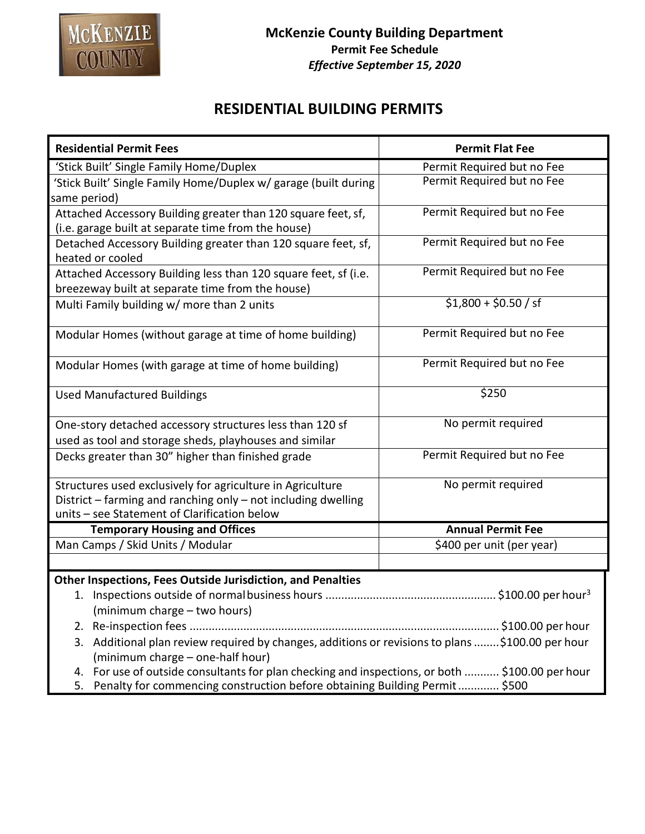

## **RESIDENTIAL BUILDING PERMITS**

| <b>Residential Permit Fees</b>                                                                                                          | <b>Permit Flat Fee</b>     |
|-----------------------------------------------------------------------------------------------------------------------------------------|----------------------------|
| 'Stick Built' Single Family Home/Duplex                                                                                                 | Permit Required but no Fee |
| 'Stick Built' Single Family Home/Duplex w/ garage (built during                                                                         | Permit Required but no Fee |
| same period)                                                                                                                            |                            |
| Attached Accessory Building greater than 120 square feet, sf,                                                                           | Permit Required but no Fee |
| (i.e. garage built at separate time from the house)                                                                                     |                            |
| Detached Accessory Building greater than 120 square feet, sf,<br>heated or cooled                                                       | Permit Required but no Fee |
| Attached Accessory Building less than 120 square feet, sf (i.e.                                                                         | Permit Required but no Fee |
| breezeway built at separate time from the house)                                                                                        |                            |
| Multi Family building w/ more than 2 units                                                                                              | $$1,800 + $0.50 / s$       |
| Modular Homes (without garage at time of home building)                                                                                 | Permit Required but no Fee |
| Modular Homes (with garage at time of home building)                                                                                    | Permit Required but no Fee |
| <b>Used Manufactured Buildings</b>                                                                                                      | \$250                      |
| One-story detached accessory structures less than 120 sf                                                                                | No permit required         |
| used as tool and storage sheds, playhouses and similar                                                                                  |                            |
| Decks greater than 30" higher than finished grade                                                                                       | Permit Required but no Fee |
| Structures used exclusively for agriculture in Agriculture                                                                              | No permit required         |
| District - farming and ranching only - not including dwelling                                                                           |                            |
| units - see Statement of Clarification below                                                                                            |                            |
| <b>Temporary Housing and Offices</b>                                                                                                    | <b>Annual Permit Fee</b>   |
| Man Camps / Skid Units / Modular                                                                                                        | \$400 per unit (per year)  |
|                                                                                                                                         |                            |
| <b>Other Inspections, Fees Outside Jurisdiction, and Penalties</b>                                                                      |                            |
|                                                                                                                                         |                            |
| (minimum charge - two hours)                                                                                                            |                            |
| 2.                                                                                                                                      |                            |
| Additional plan review required by changes, additions or revisions to plans \$100.00 per hour<br>3.<br>(minimum charge - one-half hour) |                            |
| For use of outside consultants for plan checking and inspections, or both  \$100.00 per hour<br>4.                                      |                            |
| Penalty for commencing construction before obtaining Building Permit \$500<br>5.                                                        |                            |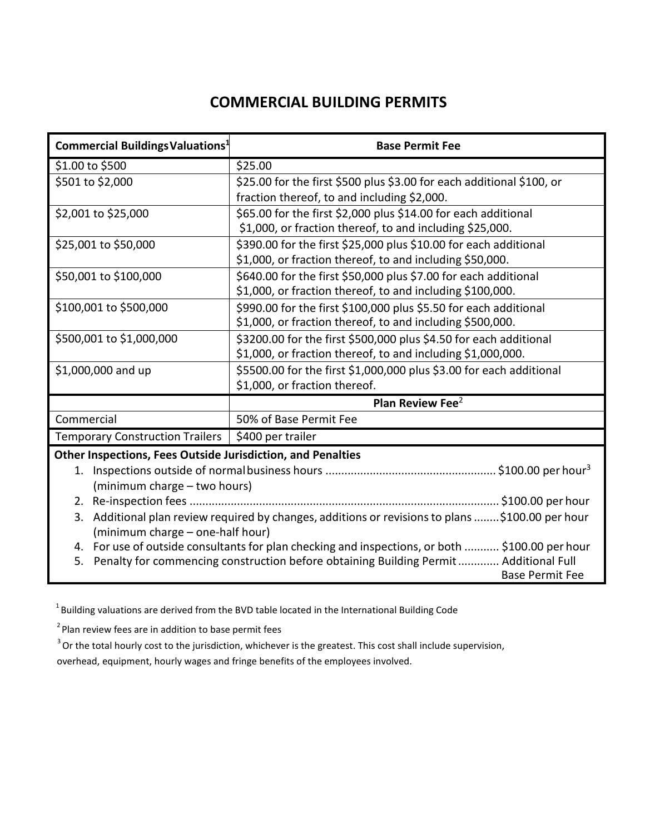## **COMMERCIAL BUILDING PERMITS**

| Commercial Buildings Valuations <sup>1</sup>                                                         | <b>Base Permit Fee</b>                                                |  |
|------------------------------------------------------------------------------------------------------|-----------------------------------------------------------------------|--|
| \$1.00 to \$500                                                                                      | \$25.00                                                               |  |
| \$501 to \$2,000                                                                                     | \$25.00 for the first \$500 plus \$3.00 for each additional \$100, or |  |
|                                                                                                      | fraction thereof, to and including \$2,000.                           |  |
| \$2,001 to \$25,000                                                                                  | \$65.00 for the first \$2,000 plus \$14.00 for each additional        |  |
|                                                                                                      | \$1,000, or fraction thereof, to and including \$25,000.              |  |
| \$25,001 to \$50,000                                                                                 | \$390.00 for the first \$25,000 plus \$10.00 for each additional      |  |
|                                                                                                      | \$1,000, or fraction thereof, to and including \$50,000.              |  |
| \$50,001 to \$100,000                                                                                | \$640.00 for the first \$50,000 plus \$7.00 for each additional       |  |
|                                                                                                      | \$1,000, or fraction thereof, to and including \$100,000.             |  |
| \$100,001 to \$500,000                                                                               | \$990.00 for the first \$100,000 plus \$5.50 for each additional      |  |
|                                                                                                      | \$1,000, or fraction thereof, to and including \$500,000.             |  |
| \$500,001 to \$1,000,000                                                                             | \$3200.00 for the first \$500,000 plus \$4.50 for each additional     |  |
|                                                                                                      | \$1,000, or fraction thereof, to and including \$1,000,000.           |  |
| \$1,000,000 and up                                                                                   | \$5500.00 for the first \$1,000,000 plus \$3.00 for each additional   |  |
|                                                                                                      | \$1,000, or fraction thereof.                                         |  |
|                                                                                                      | Plan Review Fee <sup>2</sup>                                          |  |
| Commercial                                                                                           | 50% of Base Permit Fee                                                |  |
| Temporary Construction Trailers   \$400 per trailer                                                  |                                                                       |  |
| Other Inspections, Fees Outside Jurisdiction, and Penalties                                          |                                                                       |  |
|                                                                                                      |                                                                       |  |
| (minimum charge - two hours)                                                                         |                                                                       |  |
|                                                                                                      |                                                                       |  |
| Additional plan review required by changes, additions or revisions to plans  \$100.00 per hour<br>3. |                                                                       |  |
| (minimum charge - one-half hour)                                                                     |                                                                       |  |
| 4. For use of outside consultants for plan checking and inspections, or both  \$100.00 per hour      |                                                                       |  |
| Penalty for commencing construction before obtaining Building Permit  Additional Full<br>5.          |                                                                       |  |
|                                                                                                      | <b>Base Permit Fee</b>                                                |  |

1 Building valuations are derived from the BVD table located in the International Building Code

 $2$  Plan review fees are in addition to base permit fees

 $3$  Or the total hourly cost to the jurisdiction, whichever is the greatest. This cost shall include supervision, overhead, equipment, hourly wages and fringe benefits of the employees involved.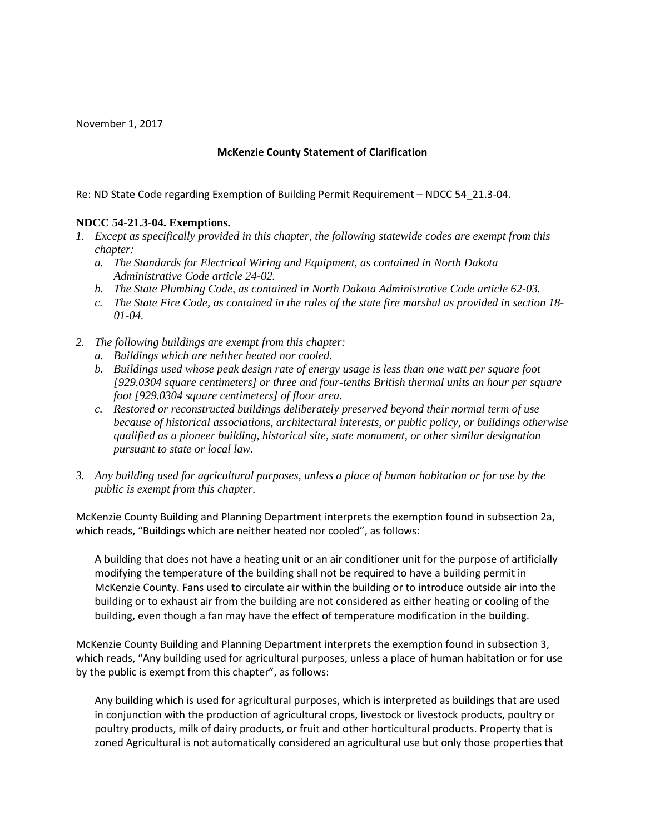November 1, 2017

## **McKenzie County Statement of Clarification**

Re: ND State Code regarding Exemption of Building Permit Requirement – NDCC 54\_21.3-04.

## **NDCC 54-21.3-04. Exemptions.**

- *1. Except as specifically provided in this chapter, the following statewide codes are exempt from this chapter:* 
	- *a. The Standards for Electrical Wiring and Equipment, as contained in North Dakota Administrative Code article 24-02.*
	- *b. The State Plumbing Code, as contained in North Dakota Administrative Code article 62-03.*
	- *c. The State Fire Code, as contained in the rules of the state fire marshal as provided in section 18- 01-04.*
- *2. The following buildings are exempt from this chapter:* 
	- *a. Buildings which are neither heated nor cooled.*
	- *b. Buildings used whose peak design rate of energy usage is less than one watt per square foot [929.0304 square centimeters] or three and four-tenths British thermal units an hour per square foot [929.0304 square centimeters] of floor area.*
	- *c. Restored or reconstructed buildings deliberately preserved beyond their normal term of use because of historical associations, architectural interests, or public policy, or buildings otherwise qualified as a pioneer building, historical site, state monument, or other similar designation pursuant to state or local law.*
- *3. Any building used for agricultural purposes, unless a place of human habitation or for use by the public is exempt from this chapter.*

McKenzie County Building and Planning Department interprets the exemption found in subsection 2a, which reads, "Buildings which are neither heated nor cooled", as follows:

A building that does not have a heating unit or an air conditioner unit for the purpose of artificially modifying the temperature of the building shall not be required to have a building permit in McKenzie County. Fans used to circulate air within the building or to introduce outside air into the building or to exhaust air from the building are not considered as either heating or cooling of the building, even though a fan may have the effect of temperature modification in the building.

McKenzie County Building and Planning Department interprets the exemption found in subsection 3, which reads, "Any building used for agricultural purposes, unless a place of human habitation or for use by the public is exempt from this chapter", as follows:

Any building which is used for agricultural purposes, which is interpreted as buildings that are used in conjunction with the production of agricultural crops, livestock or livestock products, poultry or poultry products, milk of dairy products, or fruit and other horticultural products. Property that is zoned Agricultural is not automatically considered an agricultural use but only those properties that